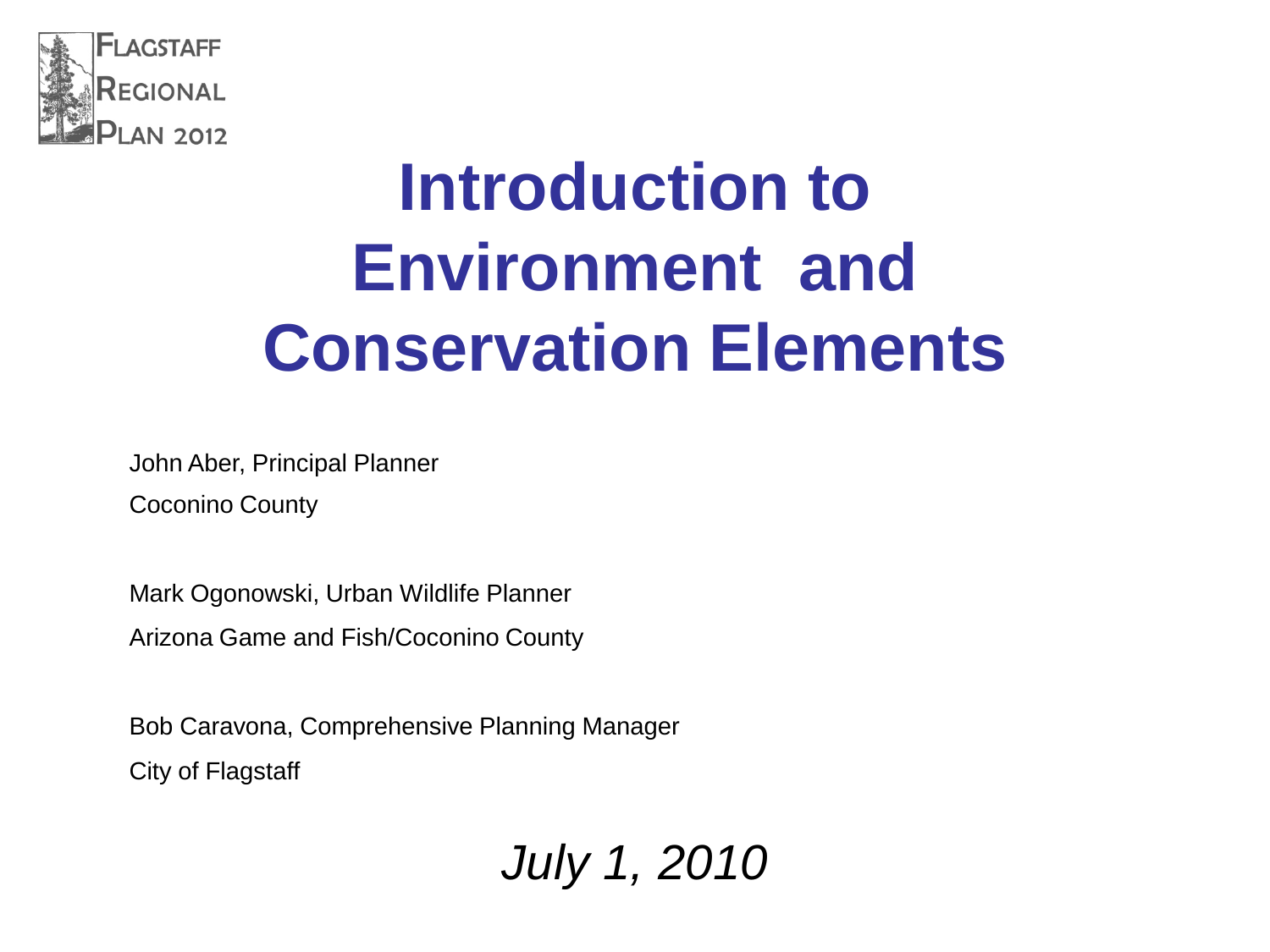

## **Introduction to Environment and Conservation Elements**

John Aber, Principal Planner Coconino County

Mark Ogonowski, Urban Wildlife Planner

Arizona Game and Fish/Coconino County

Bob Caravona, Comprehensive Planning Manager City of Flagstaff

*July 1, 2010*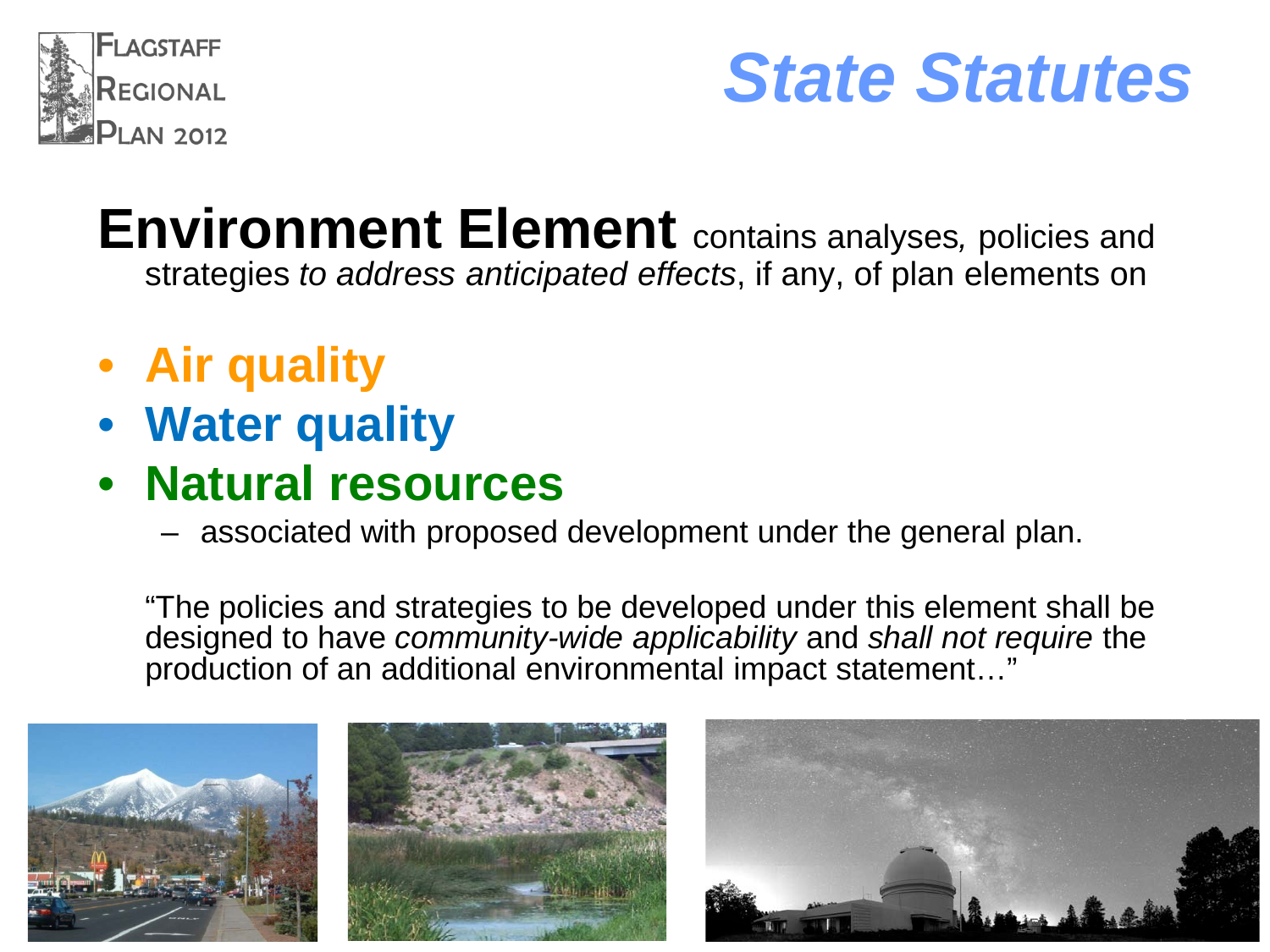

### *State Statutes*

- **Environment Element** contains analyses*,* policies and strategies *to address anticipated effects*, if any, of plan elements on
- **Air quality**
- **Water quality**
- **Natural resources**
	- associated with proposed development under the general plan.

"The policies and strategies to be developed under this element shall be designed to have *community-wide applicability* and *shall not require* the production of an additional environmental impact statement..."





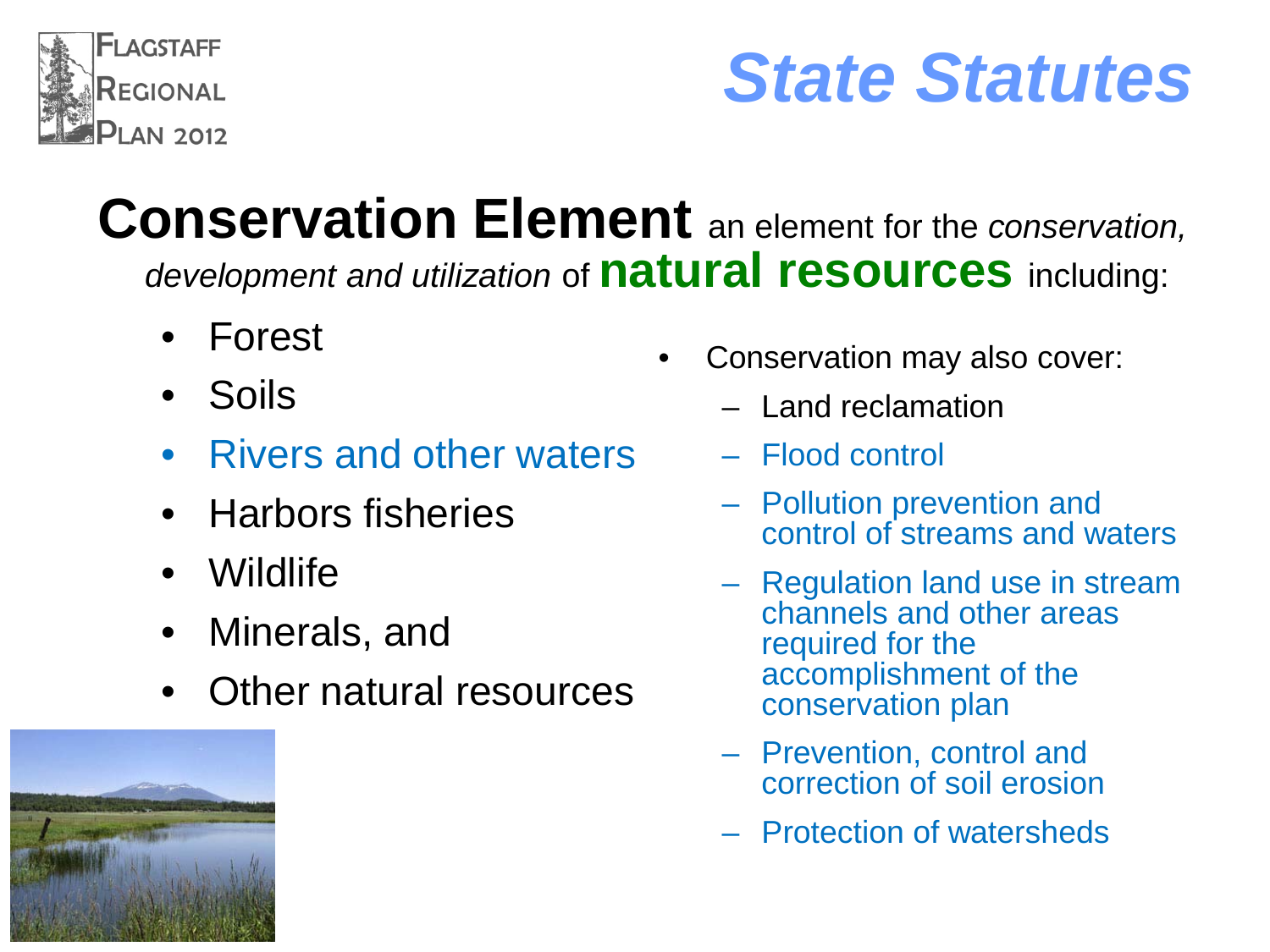

## *State Statutes*

#### **Conservation Element** an element for the *conservation, development and utilization* of **natural resources** including:

- Forest
- Soils
- Rivers and other waters
- Harbors fisheries
- Wildlife
- Minerals, and
- Other natural resources



- Conservation may also cover:
	- Land reclamation
	- Flood control
	- Pollution prevention and control of streams and waters
	- Regulation land use in stream channels and other areas required for the accomplishment of the conservation plan
	- Prevention, control and correction of soil erosion
	- Protection of watersheds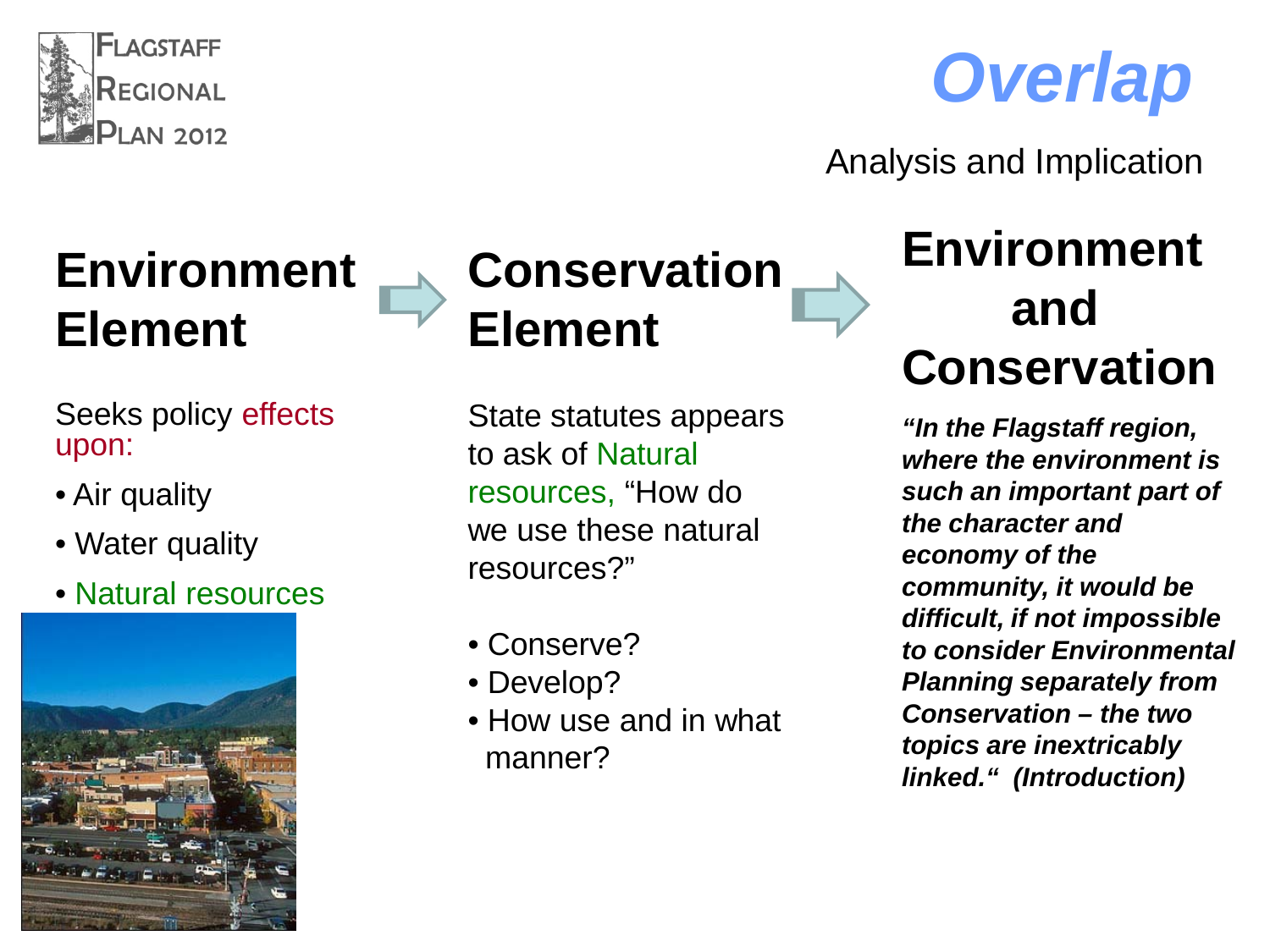



Analysis and Implication

#### **Environment Element**

Seeks policy effects upon:

- Air quality
- Water quality
- Natural resources





#### **Conservation Element**

State statutes appears to ask of Natural resources, "How do we use these natural resources?"

- Conserve?
- Develop?
- How use and in what manner?

#### **Environment and Conservation**

*"In the Flagstaff region, where the environment is such an important part of the character and economy of the community, it would be difficult, if not impossible to consider Environmental Planning separately from Conservation – the two topics are inextricably linked." (Introduction)*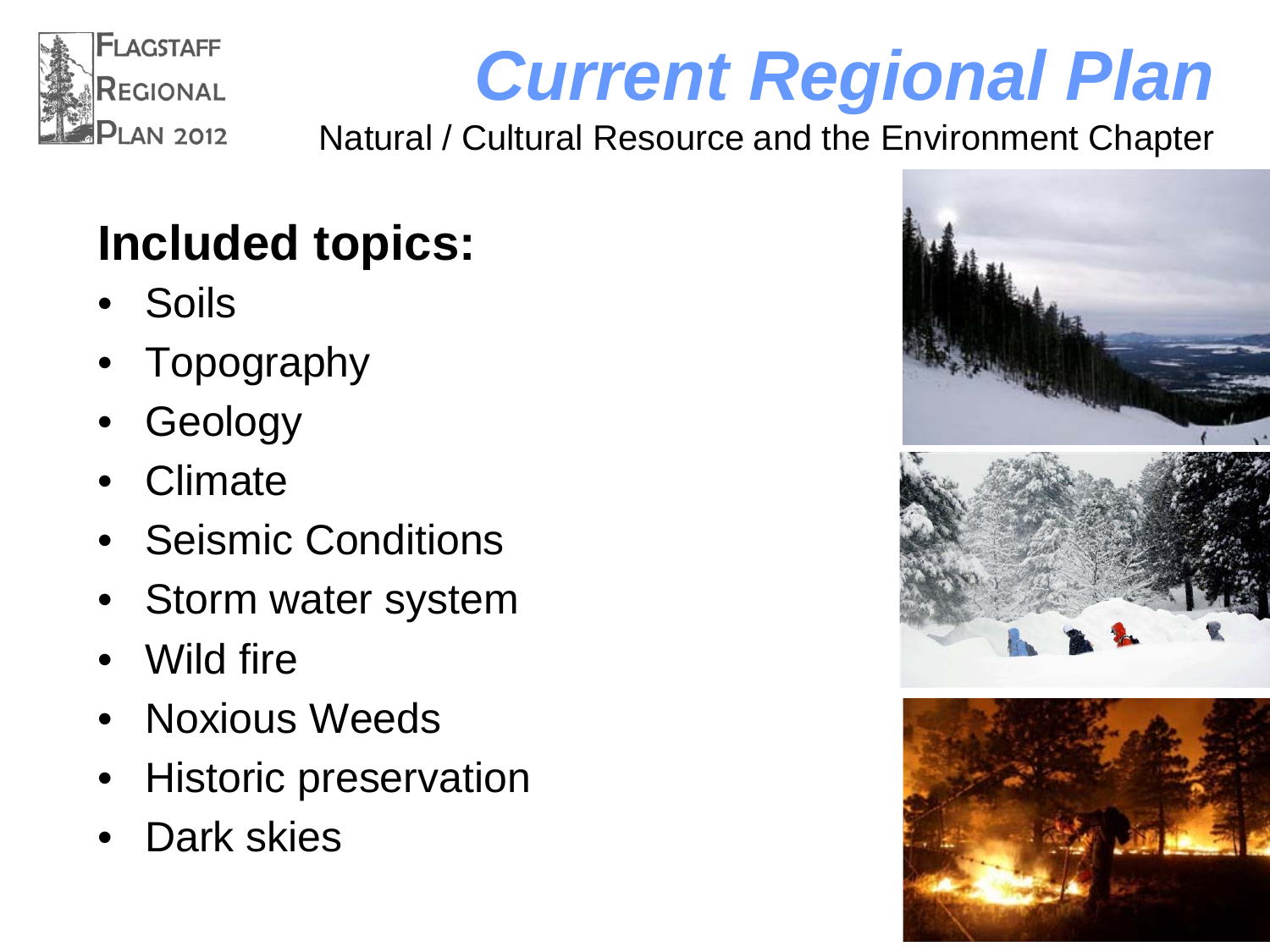

# *Current Regional Plan*

Natural / Cultural Resource and the Environment Chapter

### **Included topics:**

- Soils
- **Topography**
- **Geology**
- Climate
- Seismic Conditions
- Storm water system
- Wild fire
- Noxious Weeds
- Historic preservation
- Dark skies

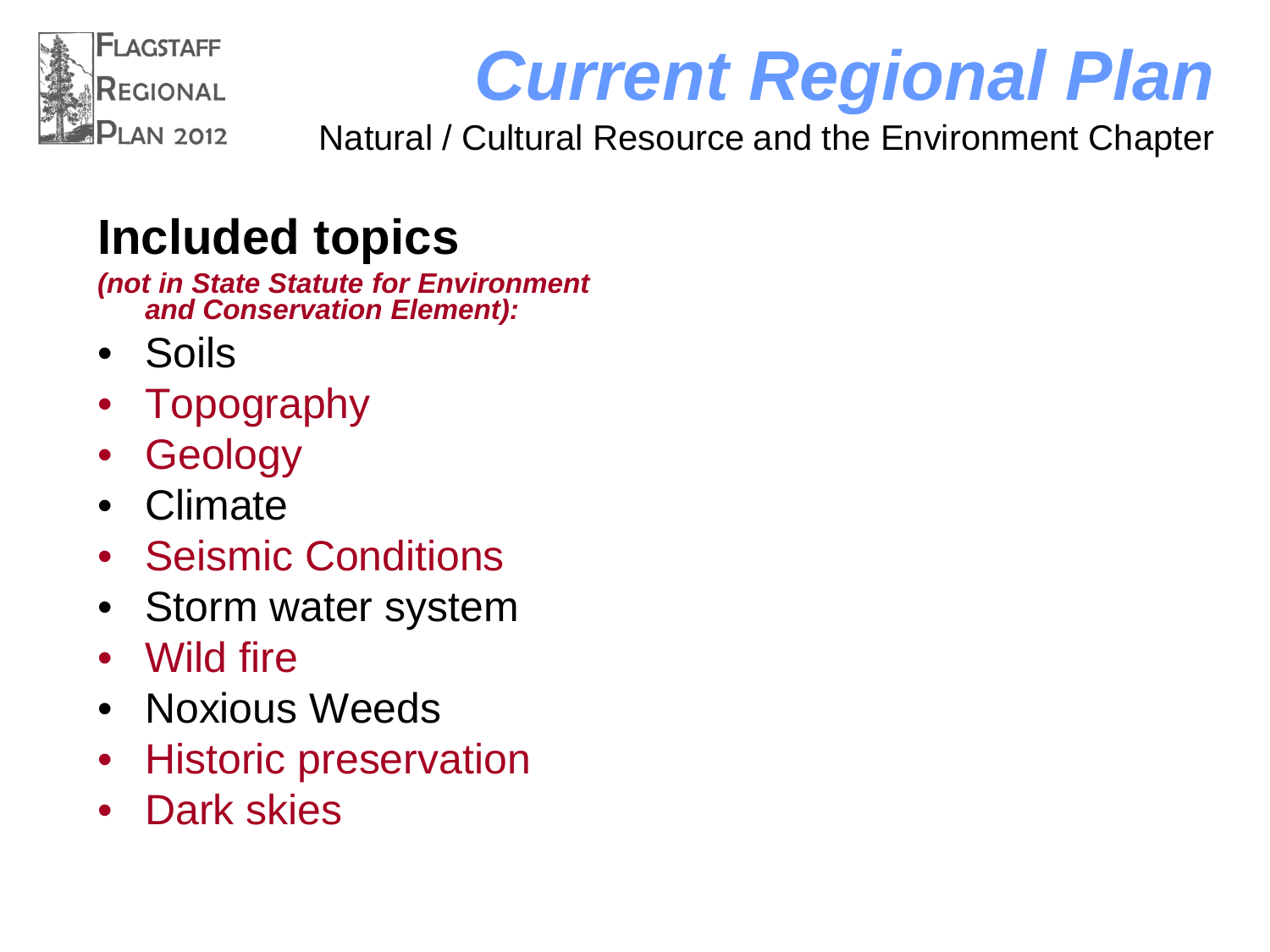

# *Current Regional Plan*

Natural / Cultural Resource and the Environment Chapter

#### **Included topics**

*(not in State Statute for Environment and Conservation Element):*

- Soils
- **Topography**
- **Geology**
- Climate
- Seismic Conditions
- Storm water system
- Wild fire
- Noxious Weeds
- Historic preservation
- Dark skies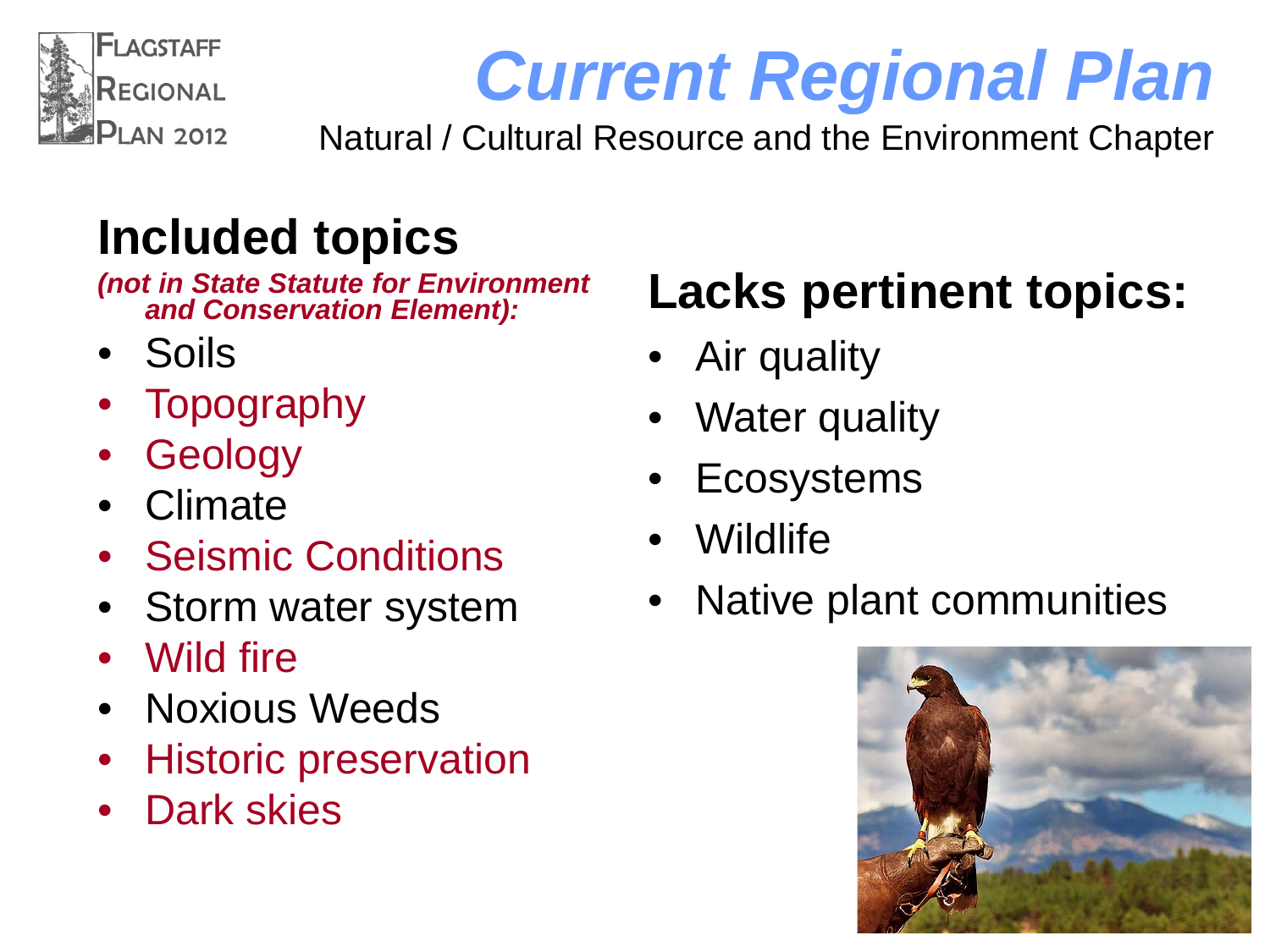

# *Current Regional Plan*

Natural / Cultural Resource and the Environment Chapter

### **Included topics**

*(not in State Statute for Environment and Conservation Element):*

- Soils
- **Topography**
- **Geology**
- Climate
- Seismic Conditions
- Storm water system
- Wild fire
- Noxious Weeds
- Historic preservation
- Dark skies

### **Lacks pertinent topics:**

- Air quality
- Water quality
- **Ecosystems**
- Wildlife
- Native plant communities

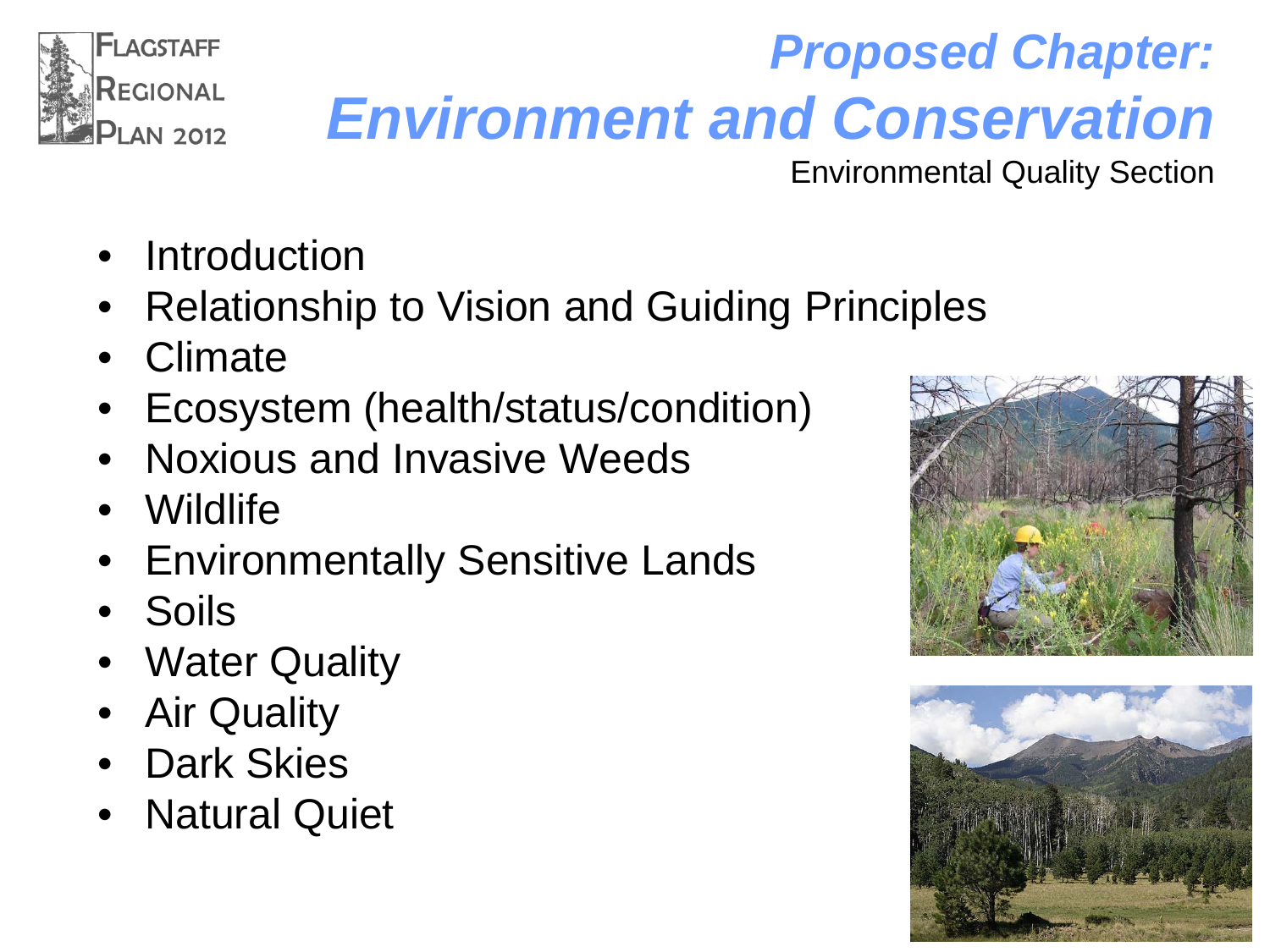

## *Proposed Chapter: Environment and Conservation*

Environmental Quality Section

- **Introduction**
- Relationship to Vision and Guiding Principles
- Climate
- Ecosystem (health/status/condition)
- Noxious and Invasive Weeds
- Wildlife
- **Environmentally Sensitive Lands**
- Soils
- **Water Quality**
- **Air Quality**
- Dark Skies
- Natural Quiet



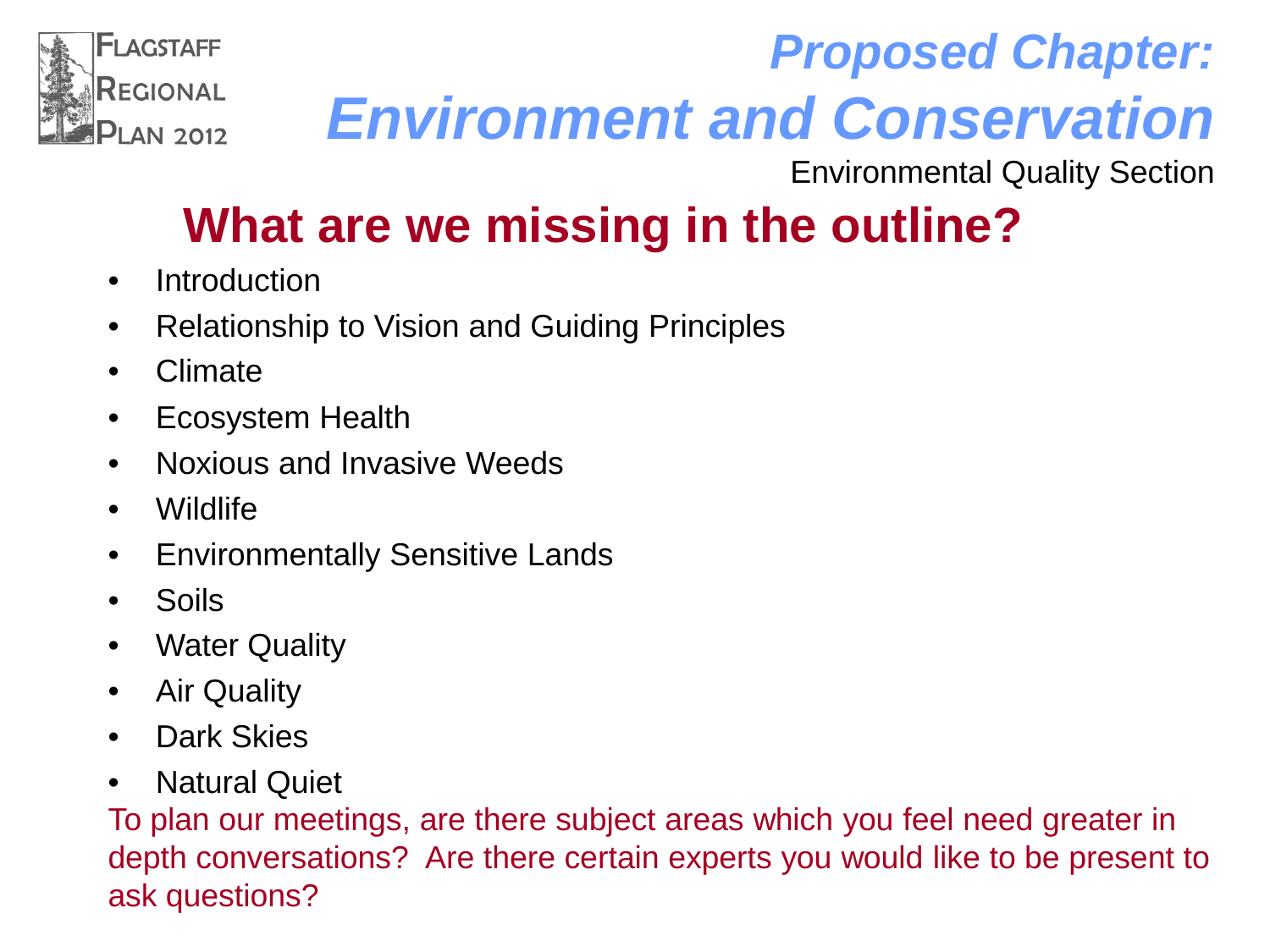

### *Proposed Chapter: Environment and Conservation*

Environmental Quality Section

### **What are we missing in the outline?**

- Introduction
- Relationship to Vision and Guiding Principles
- Climate
- Ecosystem Health
- Noxious and Invasive Weeds
- Wildlife
- Environmentally Sensitive Lands
- Soils
- Water Quality
- Air Quality
- Dark Skies
- Natural Quiet

To plan our meetings, are there subject areas which you feel need greater in depth conversations? Are there certain experts you would like to be present to ask questions?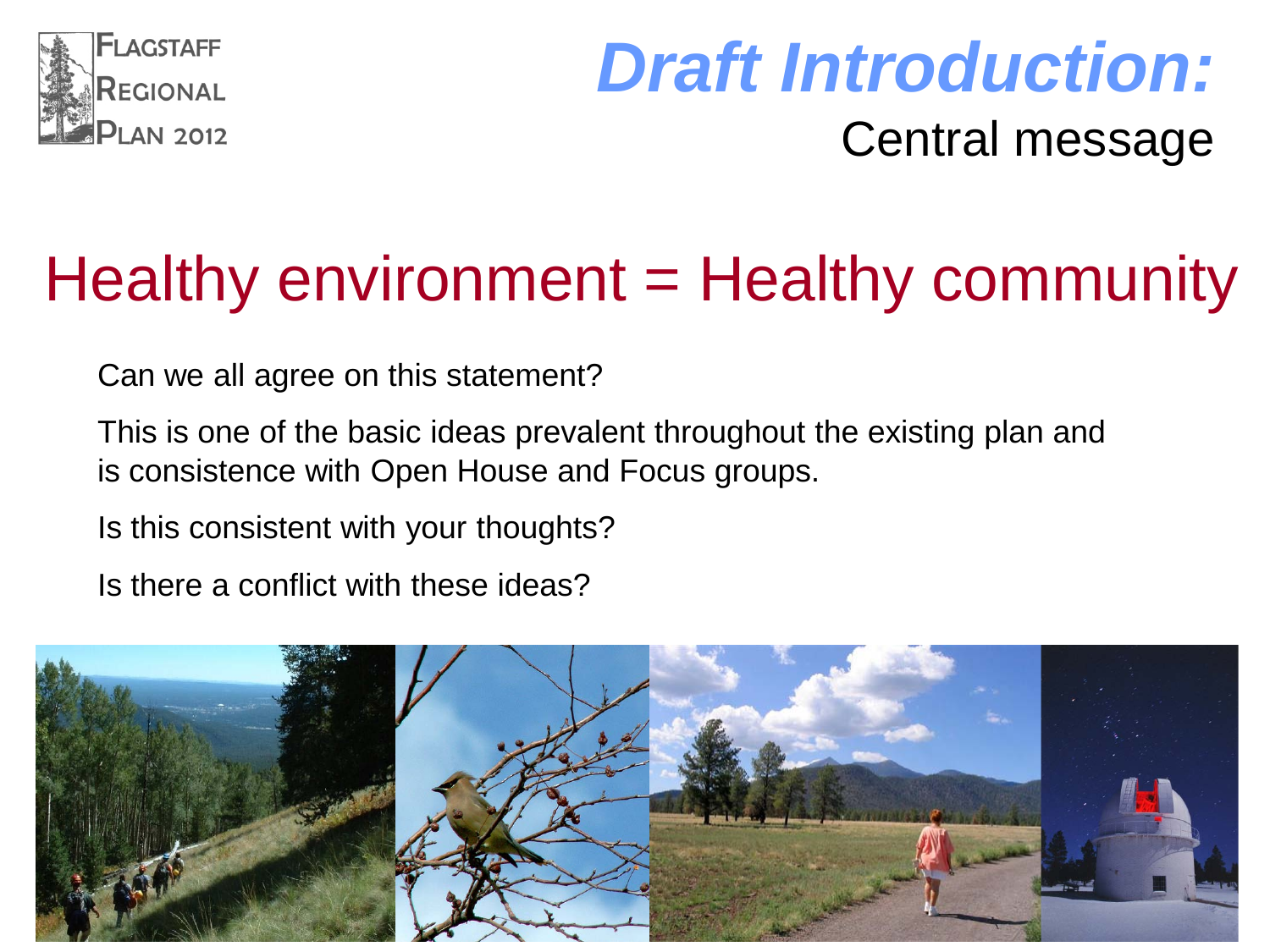

### *Draft Introduction:* Central message

## Healthy environment = Healthy community

Can we all agree on this statement?

This is one of the basic ideas prevalent throughout the existing plan and is consistence with Open House and Focus groups.

Is this consistent with your thoughts?

Is there a conflict with these ideas?

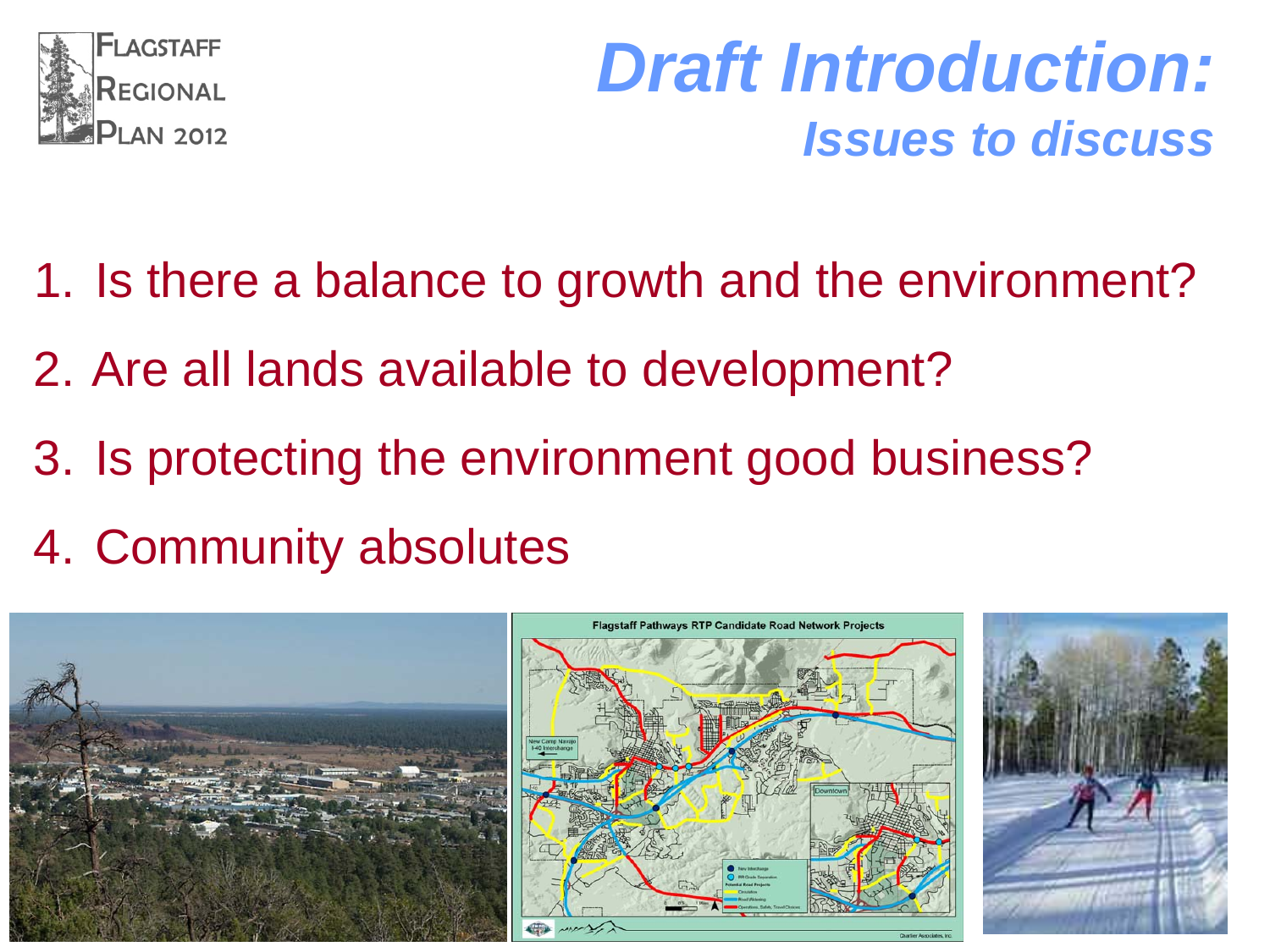

### *Draft Introduction: Issues to discuss*

- 1. Is there a balance to growth and the environment?
- 2. Are all lands available to development?
- 3. Is protecting the environment good business?
- 4. Community absolutes

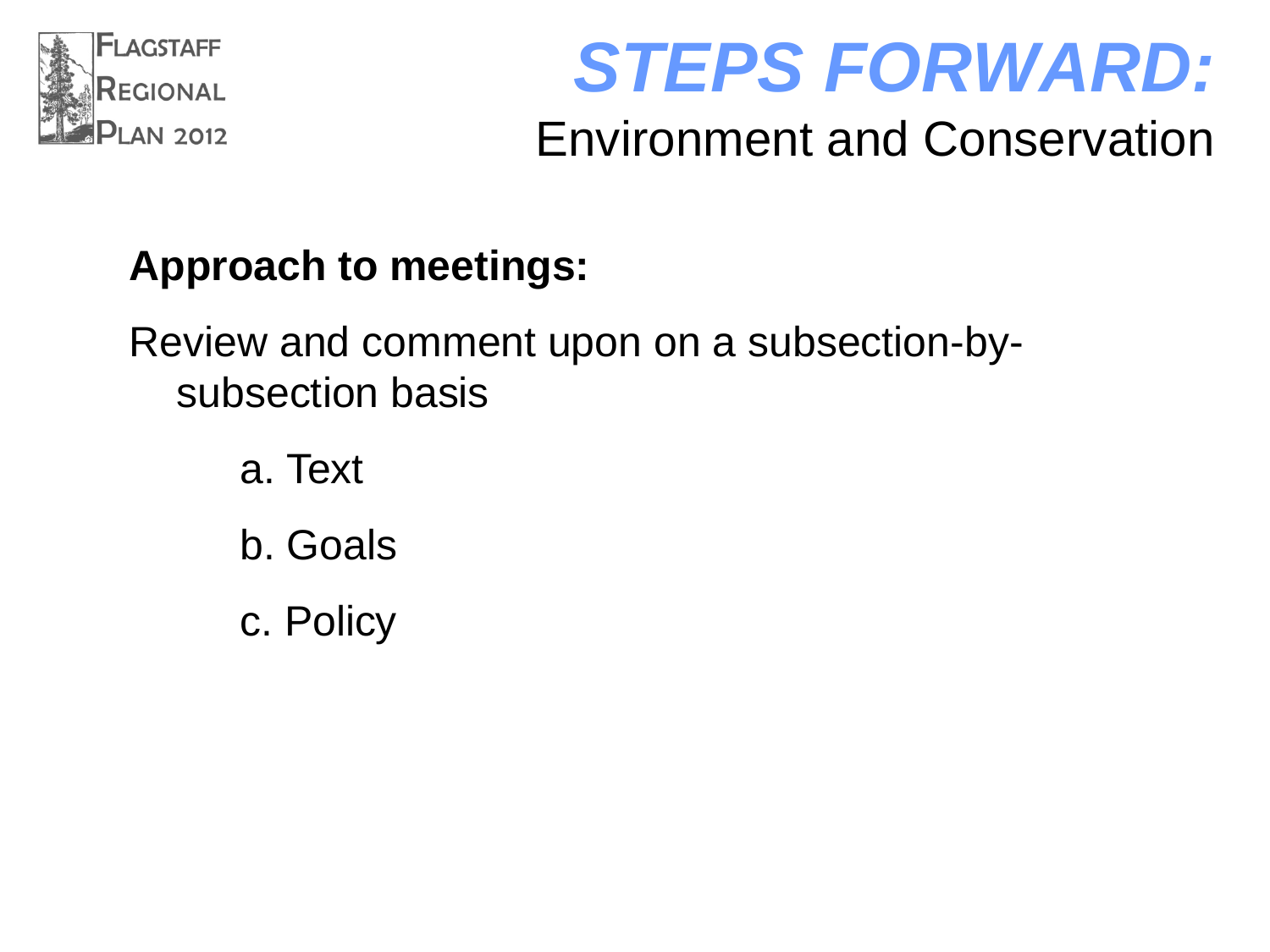

### *STEPS FORWARD:* Environment and Conservation

#### **Approach to meetings:**

#### Review and comment upon on a subsection-bysubsection basis

- a. Text b. Goals
- c. Policy